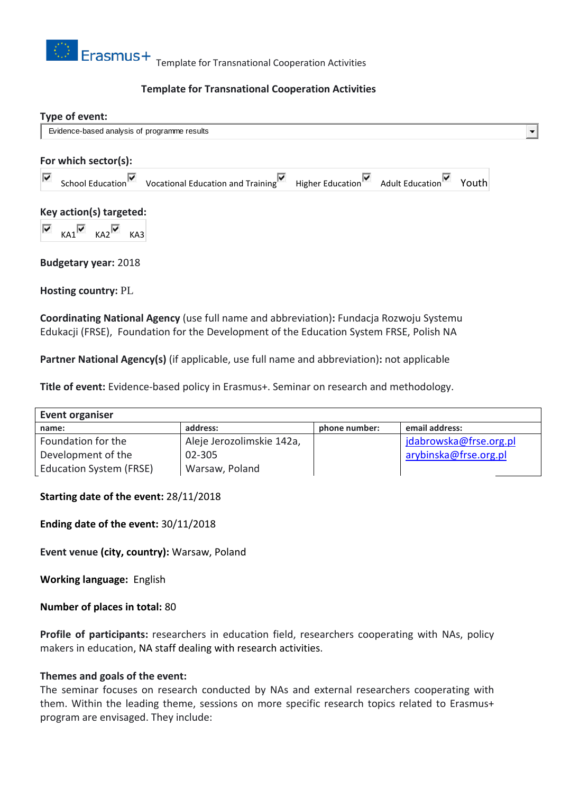

### **Template for Transnational Cooperation Activities**

| Type of event:                               |                                                                                                                                           |  |       |
|----------------------------------------------|-------------------------------------------------------------------------------------------------------------------------------------------|--|-------|
| Evidence-based analysis of programme results |                                                                                                                                           |  |       |
| For which sector(s):                         |                                                                                                                                           |  |       |
| ⊽                                            | School Education $\overline{\triangledown}$ Vocational Education and Training $\overline{\triangledown}$ Higher Education Adult Education |  | Youth |
| Key action(s) targeted:                      |                                                                                                                                           |  |       |
| $\overline{\mathbf{v}}$<br>$KAI$ $KAI$       | KA3                                                                                                                                       |  |       |
|                                              |                                                                                                                                           |  |       |

**Budgetary year:** 2018

**Hosting country:** PL

**Coordinating National Agency** (use full name and abbreviation)**:** Fundacja Rozwoju Systemu Edukacji (FRSE), Foundation for the Development of the Education System FRSE, Polish NA

**Partner National Agency(s)** (if applicable, use full name and abbreviation)**:** not applicable

**Title of event:** Evidence-based policy in Erasmus+. Seminar on research and methodology.

| Event organiser                |                           |               |                        |  |  |  |
|--------------------------------|---------------------------|---------------|------------------------|--|--|--|
| name:                          | address:                  | phone number: | email address:         |  |  |  |
| Foundation for the             | Aleje Jerozolimskie 142a, |               | jdabrowska@frse.org.pl |  |  |  |
| Development of the             | 02-305                    |               | arybinska@frse.org.pl  |  |  |  |
| <b>Education System (FRSE)</b> | Warsaw, Poland            |               |                        |  |  |  |

### **Starting date of the event:** 28/11/2018

**Ending date of the event:** 30/11/2018

**Event venue (city, country):** Warsaw, Poland

**Working language:** English

**Number of places in total:** 80

**Profile of participants:** researchers in education field, researchers cooperating with NAs, policy makers in education, NA staff dealing with research activities.

#### **Themes and goals of the event:**

The seminar focuses on research conducted by NAs and external researchers cooperating with them. Within the leading theme, sessions on more specific research topics related to Erasmus+ program are envisaged. They include: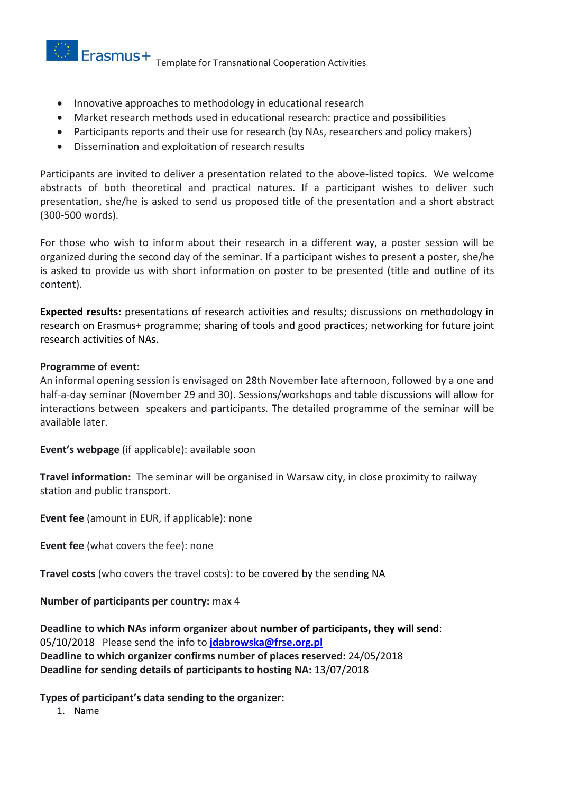$\circledcirc$  Erasmus+ Template for Transnational Cooperation Activities

- Innovative approaches to methodology in educational research
- Market research methods used in educational research: practice and possibilities
- Participants reports and their use for research (by NAs, researchers and policy makers)
- Dissemination and exploitation of research results

Participants are invited to deliver a presentation related to the above-listed topics. We welcome abstracts of both theoretical and practical natures. If a participant wishes to deliver such presentation, she/he is asked to send us proposed title of the presentation and a short abstract (300-500 words).

For those who wish to inform about their research in a different way, a poster session will be organized during the second day of the seminar. If a participant wishes to present a poster, she/he is asked to provide us with short information on poster to be presented (title and outline of its content).

**Expected results:** presentations of research activities and results; discussions on methodology in research on Erasmus+ programme; sharing of tools and good practices; networking for future joint research activities of NAs.

### **Programme of event:**

An informal opening session is envisaged on 28th November late afternoon, followed by a one and half-a-day seminar (November 29 and 30). Sessions/workshops and table discussions will allow for interactions between speakers and participants. The detailed programme of the seminar will be available later.

**Event's webpage** (if applicable): available soon

**Travel information:** The seminar will be organised in Warsaw city, in close proximity to railway station and public transport.

**Event fee** (amount in EUR, if applicable): none

**Event fee** (what covers the fee): none

**Travel costs** (who covers the travel costs): to be covered by the sending NA

**Number of participants per country:** max 4

**Deadline to which NAs inform organizer about number of participants, they will send**: 05/10/2018 Please send the info to **[jdabrowska@frse.org.pl](mailto:jdabrowska@frse.org.pl) Deadline to which organizer confirms number of places reserved:** 24/05/2018 **Deadline for sending details of participants to hosting NA:** 13/07/2018

**Types of participant's data sending to the organizer:**

1. Name